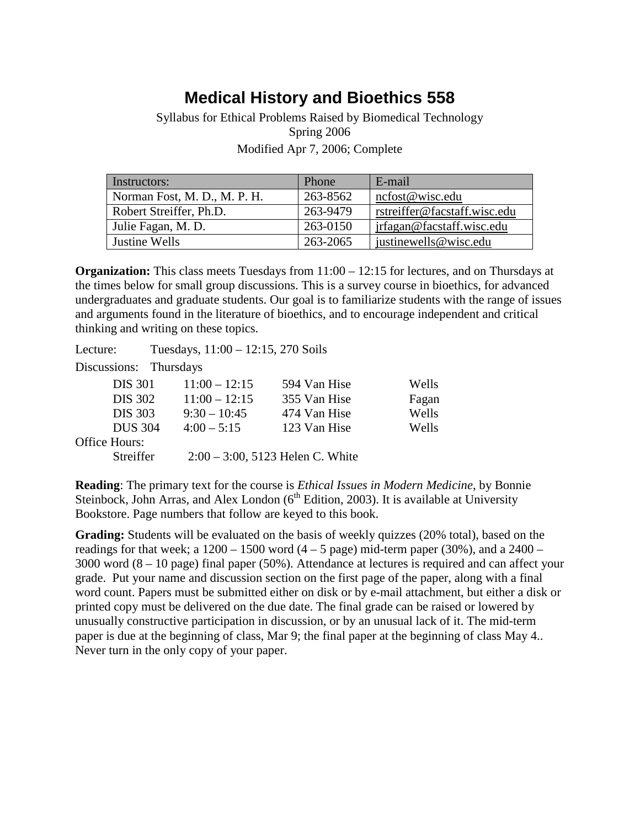## **Medical History and Bioethics 558**

Syllabus for Ethical Problems Raised by Biomedical Technology Spring 2006 Modified Apr 7, 2006; Complete

| Instructors:                 | Phone    | E-mail                       |
|------------------------------|----------|------------------------------|
| Norman Fost, M. D., M. P. H. | 263-8562 | ncfost@wisc.edu              |
| Robert Streiffer, Ph.D.      | 263-9479 | rstreiffer@facstaff.wisc.edu |
| Julie Fagan, M. D.           | 263-0150 | irfagan@facstaff.wisc.edu    |
| Justine Wells                | 263-2065 | justinewells@wisc.edu        |

**Organization:** This class meets Tuesdays from  $11:00 - 12:15$  for lectures, and on Thursdays at the times below for small group discussions. This is a survey course in bioethics, for advanced undergraduates and graduate students. Our goal is to familiarize students with the range of issues and arguments found in the literature of bioethics, and to encourage independent and critical thinking and writing on these topics.

Lecture: Tuesdays, 11:00 – 12:15, 270 Soils Discussions: Thursdays DIS 301 11:00 – 12:15 594 Van Hise Wells DIS 302 11:00 – 12:15 355 Van Hise Fagan DIS 303 9:30 – 10:45 474 Van Hise Wells DUS 304 4:00 – 5:15 123 Van Hise Wells Office Hours: Streiffer 2:00 – 3:00, 5123 Helen C. White

**Reading**: The primary text for the course is *Ethical Issues in Modern Medicine*, by Bonnie Steinbock, John Arras, and Alex London  $(6<sup>th</sup> Edition, 2003)$ . It is available at University Bookstore. Page numbers that follow are keyed to this book.

**Grading:** Students will be evaluated on the basis of weekly quizzes (20% total), based on the readings for that week; a  $1200 - 1500$  word  $(4 - 5$  page) mid-term paper (30%), and a  $2400 -$ 3000 word (8 – 10 page) final paper (50%). Attendance at lectures is required and can affect your grade. Put your name and discussion section on the first page of the paper, along with a final word count. Papers must be submitted either on disk or by e-mail attachment, but either a disk or printed copy must be delivered on the due date. The final grade can be raised or lowered by unusually constructive participation in discussion, or by an unusual lack of it. The mid-term paper is due at the beginning of class, Mar 9; the final paper at the beginning of class May 4.. Never turn in the only copy of your paper.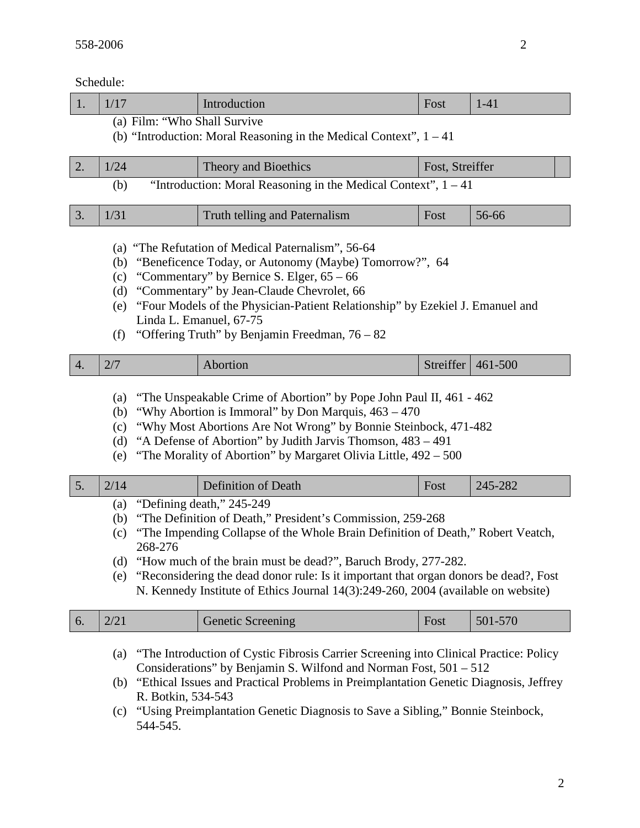Schedule:

|    | Schedule:                                                                                                                                                                                                                                                                                                                                                                                                   |                                                                                                                                                                                                                                                                                                                                                                                                                                     |                               |                 |          |  |  |  |
|----|-------------------------------------------------------------------------------------------------------------------------------------------------------------------------------------------------------------------------------------------------------------------------------------------------------------------------------------------------------------------------------------------------------------|-------------------------------------------------------------------------------------------------------------------------------------------------------------------------------------------------------------------------------------------------------------------------------------------------------------------------------------------------------------------------------------------------------------------------------------|-------------------------------|-----------------|----------|--|--|--|
| 1. | 1/17                                                                                                                                                                                                                                                                                                                                                                                                        |                                                                                                                                                                                                                                                                                                                                                                                                                                     | Introduction                  | Fost            | $1 - 41$ |  |  |  |
|    | (a) Film: "Who Shall Survive<br>(b) "Introduction: Moral Reasoning in the Medical Context", $1 - 41$                                                                                                                                                                                                                                                                                                        |                                                                                                                                                                                                                                                                                                                                                                                                                                     |                               |                 |          |  |  |  |
| 2. | 1/24                                                                                                                                                                                                                                                                                                                                                                                                        |                                                                                                                                                                                                                                                                                                                                                                                                                                     | Theory and Bioethics          | Fost, Streiffer |          |  |  |  |
|    | (b)                                                                                                                                                                                                                                                                                                                                                                                                         | "Introduction: Moral Reasoning in the Medical Context", $1 - 41$                                                                                                                                                                                                                                                                                                                                                                    |                               |                 |          |  |  |  |
| 3. | 1/31                                                                                                                                                                                                                                                                                                                                                                                                        |                                                                                                                                                                                                                                                                                                                                                                                                                                     | Truth telling and Paternalism | Fost            | 56-66    |  |  |  |
|    | (a) "The Refutation of Medical Paternalism", 56-64<br>"Beneficence Today, or Autonomy (Maybe) Tomorrow?", 64<br>(b)<br>"Commentary" by Bernice S. Elger, $65 - 66$<br>(c)<br>"Commentary" by Jean-Claude Chevrolet, 66<br>(d)<br>"Four Models of the Physician-Patient Relationship" by Ezekiel J. Emanuel and<br>(e)<br>Linda L. Emanuel, 67-75<br>"Offering Truth" by Benjamin Freedman, $76 - 82$<br>(f) |                                                                                                                                                                                                                                                                                                                                                                                                                                     |                               |                 |          |  |  |  |
| 4. | 2/7                                                                                                                                                                                                                                                                                                                                                                                                         |                                                                                                                                                                                                                                                                                                                                                                                                                                     | Abortion                      | Streiffer       | 461-500  |  |  |  |
|    | (a)<br>(b)<br>(c)<br>(d)<br>(e)                                                                                                                                                                                                                                                                                                                                                                             | "The Unspeakable Crime of Abortion" by Pope John Paul II, 461 - 462<br>"Why Abortion is Immoral" by Don Marquis, 463 – 470<br>"Why Most Abortions Are Not Wrong" by Bonnie Steinbock, 471-482<br>"A Defense of Abortion" by Judith Jarvis Thomson, 483 – 491<br>"The Morality of Abortion" by Margaret Olivia Little, 492 – 500                                                                                                     |                               |                 |          |  |  |  |
| 5. | 2/14                                                                                                                                                                                                                                                                                                                                                                                                        |                                                                                                                                                                                                                                                                                                                                                                                                                                     | Definition of Death           | Fost            | 245-282  |  |  |  |
|    | (a)<br>(b)<br>(c)<br>(d)<br>(e)                                                                                                                                                                                                                                                                                                                                                                             | "Defining death," 245-249<br>"The Definition of Death," President's Commission, 259-268<br>"The Impending Collapse of the Whole Brain Definition of Death," Robert Veatch,<br>268-276<br>"How much of the brain must be dead?", Baruch Brody, 277-282.<br>"Reconsidering the dead donor rule: Is it important that organ donors be dead?, Fost<br>N. Kennedy Institute of Ethics Journal 14(3):249-260, 2004 (available on website) |                               |                 |          |  |  |  |
| 6. | 2/21                                                                                                                                                                                                                                                                                                                                                                                                        |                                                                                                                                                                                                                                                                                                                                                                                                                                     | <b>Genetic Screening</b>      | Fost            | 501-570  |  |  |  |
|    |                                                                                                                                                                                                                                                                                                                                                                                                             | "The Introduction of Cystic Fibrosis Carrier Screening into Clinical Practice: Policy<br>$\left( a\right)$                                                                                                                                                                                                                                                                                                                          |                               |                 |          |  |  |  |

- Considerations" by Benjamin S. Wilfond and Norman Fost, 501 512 (b) "Ethical Issues and Practical Problems in Preimplantation Genetic Diagnosis, Jeffrey R. Botkin, 534-543
- (c) "Using Preimplantation Genetic Diagnosis to Save a Sibling," Bonnie Steinbock, 544-545.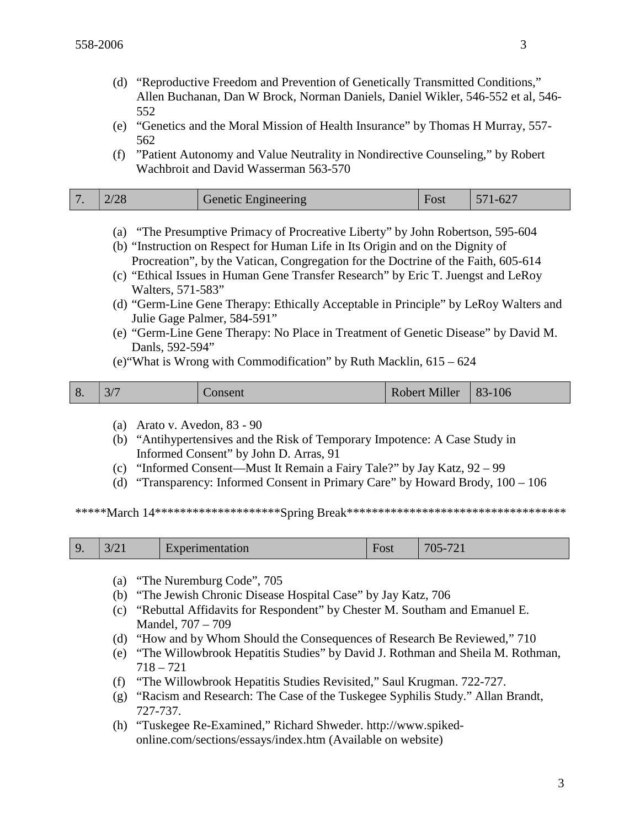- (d) "Reproductive Freedom and Prevention of Genetically Transmitted Conditions," Allen Buchanan, Dan W Brock, Norman Daniels, Daniel Wikler, 546-552 et al, 546- 552
- (e) "Genetics and the Moral Mission of Health Insurance" by Thomas H Murray, 557- 562
- (f) "Patient Autonomy and Value Neutrality in Nondirective Counseling," by Robert Wachbroit and David Wasserman 563-570

|  | $\overline{7}$ | 100 | Genetic Engineering | Fost | 571-627 |
|--|----------------|-----|---------------------|------|---------|
|--|----------------|-----|---------------------|------|---------|

- (a) "The Presumptive Primacy of Procreative Liberty" by John Robertson, 595-604
- (b) "Instruction on Respect for Human Life in Its Origin and on the Dignity of Procreation", by the Vatican, Congregation for the Doctrine of the Faith, 605-614
- (c) "Ethical Issues in Human Gene Transfer Research" by Eric T. Juengst and LeRoy Walters, 571-583"
- (d) "Germ-Line Gene Therapy: Ethically Acceptable in Principle" by LeRoy Walters and Julie Gage Palmer, 584-591"
- (e) "Germ-Line Gene Therapy: No Place in Treatment of Genetic Disease" by David M. Danls, 592-594"
- (e)"What is Wrong with Commodification" by Ruth Macklin, 615 624

| Robert Miller   83-106<br>8.<br>Consent |
|-----------------------------------------|
|-----------------------------------------|

- (a) Arato v. Avedon, 83 90
- (b) "Antihypertensives and the Risk of Temporary Impotence: A Case Study in Informed Consent" by John D. Arras, 91
- (c) "Informed Consent—Must It Remain a Fairy Tale?" by Jay Katz, 92 99
- (d) "Transparency: Informed Consent in Primary Care" by Howard Brody, 100 106

\*\*\*\*\*\*March 14\*\*\*\*\*\*\*\*\*\*\*\*\*\*\*\*\*\*\*\*\*Spring Break\*\*\*\*\*\*\*\*\*\*\*\*\*\*\*\*\*\*\*\*\*\*\*\*\*\*\*\*\*\*\*\*\*

|  | $\sim$ $\sim$<br>3/2 | Experimentation | –<br>Fost | 705.721<br>--<br>$U_{\sim}$<br>$\sim$ 1 |
|--|----------------------|-----------------|-----------|-----------------------------------------|
|--|----------------------|-----------------|-----------|-----------------------------------------|

- (a) "The Nuremburg Code", 705
- (b) "The Jewish Chronic Disease Hospital Case" by Jay Katz, 706
- (c) "Rebuttal Affidavits for Respondent" by Chester M. Southam and Emanuel E. Mandel, 707 – 709
- (d) "How and by Whom Should the Consequences of Research Be Reviewed," 710
- (e) "The Willowbrook Hepatitis Studies" by David J. Rothman and Sheila M. Rothman, 718 – 721
- (f) "The Willowbrook Hepatitis Studies Revisited," Saul Krugman. 722-727.
- (g) "Racism and Research: The Case of the Tuskegee Syphilis Study." Allan Brandt, 727-737.
- (h) "Tuskegee Re-Examined," Richard Shweder. http://www.spikedonline.com/sections/essays/index.htm (Available on website)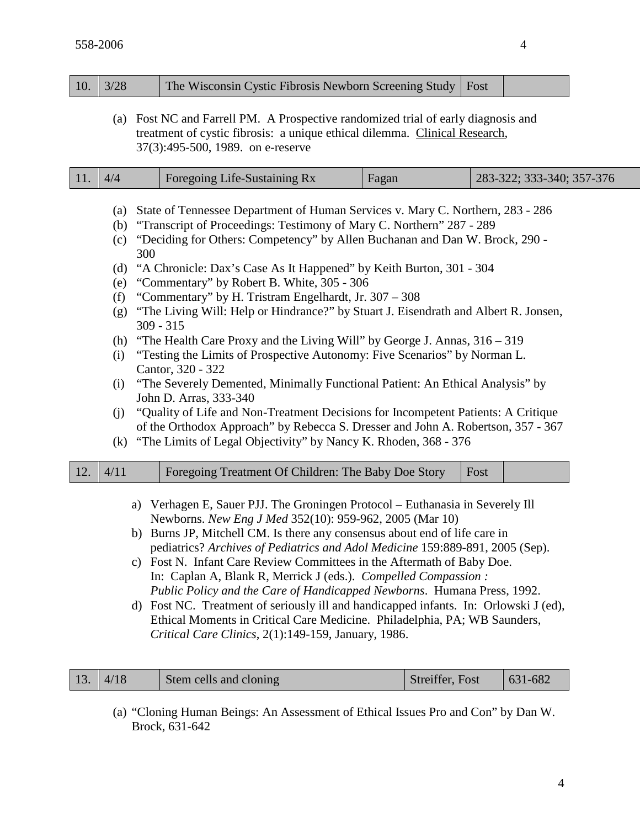| 10.                                                                                                                                                                                                                                                                                                                                                                                                                                                                                                                                                                                                                                                                                                                                                        | 3/28<br>The Wisconsin Cystic Fibrosis Newborn Screening Study<br>Fost                                                                                                                                                                                                                                                                                                                                                                                                                                                                                                                                                                                                                                                                                                                                                                                                                                                                                                                                                                                                                                                                                      |  |                                                     |       |      |                           |  |  |
|------------------------------------------------------------------------------------------------------------------------------------------------------------------------------------------------------------------------------------------------------------------------------------------------------------------------------------------------------------------------------------------------------------------------------------------------------------------------------------------------------------------------------------------------------------------------------------------------------------------------------------------------------------------------------------------------------------------------------------------------------------|------------------------------------------------------------------------------------------------------------------------------------------------------------------------------------------------------------------------------------------------------------------------------------------------------------------------------------------------------------------------------------------------------------------------------------------------------------------------------------------------------------------------------------------------------------------------------------------------------------------------------------------------------------------------------------------------------------------------------------------------------------------------------------------------------------------------------------------------------------------------------------------------------------------------------------------------------------------------------------------------------------------------------------------------------------------------------------------------------------------------------------------------------------|--|-----------------------------------------------------|-------|------|---------------------------|--|--|
|                                                                                                                                                                                                                                                                                                                                                                                                                                                                                                                                                                                                                                                                                                                                                            | (a) Fost NC and Farrell PM. A Prospective randomized trial of early diagnosis and<br>treatment of cystic fibrosis: a unique ethical dilemma. Clinical Research,<br>37(3):495-500, 1989. on e-reserve                                                                                                                                                                                                                                                                                                                                                                                                                                                                                                                                                                                                                                                                                                                                                                                                                                                                                                                                                       |  |                                                     |       |      |                           |  |  |
| 11.                                                                                                                                                                                                                                                                                                                                                                                                                                                                                                                                                                                                                                                                                                                                                        | 4/4                                                                                                                                                                                                                                                                                                                                                                                                                                                                                                                                                                                                                                                                                                                                                                                                                                                                                                                                                                                                                                                                                                                                                        |  | Foregoing Life-Sustaining Rx                        | Fagan |      | 283-322; 333-340; 357-376 |  |  |
|                                                                                                                                                                                                                                                                                                                                                                                                                                                                                                                                                                                                                                                                                                                                                            | State of Tennessee Department of Human Services v. Mary C. Northern, 283 - 286<br>(a)<br>"Transcript of Proceedings: Testimony of Mary C. Northern" 287 - 289<br>(b)<br>"Deciding for Others: Competency" by Allen Buchanan and Dan W. Brock, 290 -<br>(c)<br>300<br>"A Chronicle: Dax's Case As It Happened" by Keith Burton, 301 - 304<br>(d)<br>"Commentary" by Robert B. White, 305 - 306<br>(e)<br>"Commentary" by H. Tristram Engelhardt, Jr. 307 – 308<br>(f)<br>"The Living Will: Help or Hindrance?" by Stuart J. Eisendrath and Albert R. Jonsen,<br>(g)<br>$309 - 315$<br>"The Health Care Proxy and the Living Will" by George J. Annas, 316 – 319<br>(h)<br>"Testing the Limits of Prospective Autonomy: Five Scenarios" by Norman L.<br>(i)<br>Cantor, 320 - 322<br>"The Severely Demented, Minimally Functional Patient: An Ethical Analysis" by<br>(i)<br>John D. Arras, 333-340<br>"Quality of Life and Non-Treatment Decisions for Incompetent Patients: A Critique<br>(j)<br>of the Orthodox Approach" by Rebecca S. Dresser and John A. Robertson, 357 - 367<br>"The Limits of Legal Objectivity" by Nancy K. Rhoden, 368 - 376<br>(k) |  |                                                     |       |      |                           |  |  |
| 12.                                                                                                                                                                                                                                                                                                                                                                                                                                                                                                                                                                                                                                                                                                                                                        | 4/11                                                                                                                                                                                                                                                                                                                                                                                                                                                                                                                                                                                                                                                                                                                                                                                                                                                                                                                                                                                                                                                                                                                                                       |  | Foregoing Treatment Of Children: The Baby Doe Story |       | Fost |                           |  |  |
| a) Verhagen E, Sauer PJJ. The Groningen Protocol - Euthanasia in Severely Ill<br>Newborns. New Eng J Med 352(10): 959-962, 2005 (Mar 10)<br>b) Burns JP, Mitchell CM. Is there any consensus about end of life care in<br>pediatrics? Archives of Pediatrics and Adol Medicine 159:889-891, 2005 (Sep).<br>c) Fost N. Infant Care Review Committees in the Aftermath of Baby Doe.<br>In: Caplan A, Blank R, Merrick J (eds.). Compelled Compassion:<br>Public Policy and the Care of Handicapped Newborns. Humana Press, 1992.<br>d) Fost NC. Treatment of seriously ill and handicapped infants. In: Orlowski J (ed),<br>Ethical Moments in Critical Care Medicine. Philadelphia, PA; WB Saunders,<br>Critical Care Clinics, 2(1):149-159, January, 1986. |                                                                                                                                                                                                                                                                                                                                                                                                                                                                                                                                                                                                                                                                                                                                                                                                                                                                                                                                                                                                                                                                                                                                                            |  |                                                     |       |      |                           |  |  |

| 13.  4/18 | Stem cells and cloning | Streiffer, Fost | $ 631-682$ |
|-----------|------------------------|-----------------|------------|
|           |                        |                 |            |

(a) "Cloning Human Beings: An Assessment of Ethical Issues Pro and Con" by Dan W. Brock, 631-642